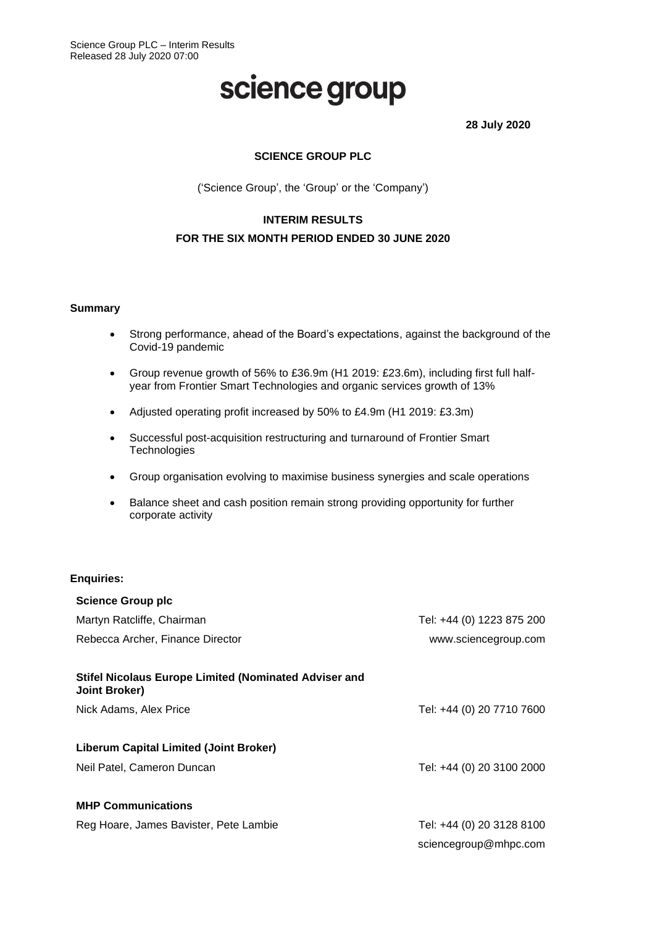# science group

**28 July 2020**

# **SCIENCE GROUP PLC**

('Science Group', the 'Group' or the 'Company')

# **INTERIM RESULTS FOR THE SIX MONTH PERIOD ENDED 30 JUNE 2020**

#### **Summary**

- Strong performance, ahead of the Board's expectations, against the background of the Covid-19 pandemic
- Group revenue growth of 56% to £36.9m (H1 2019: £23.6m), including first full halfyear from Frontier Smart Technologies and organic services growth of 13%
- Adjusted operating profit increased by 50% to £4.9m (H1 2019: £3.3m)
- Successful post-acquisition restructuring and turnaround of Frontier Smart **Technologies**
- Group organisation evolving to maximise business synergies and scale operations
- Balance sheet and cash position remain strong providing opportunity for further corporate activity

#### **Enquiries:**

| <b>Science Group plc</b>                                                             |                           |
|--------------------------------------------------------------------------------------|---------------------------|
| Martyn Ratcliffe, Chairman                                                           | Tel: +44 (0) 1223 875 200 |
| Rebecca Archer, Finance Director                                                     | www.sciencegroup.com      |
| <b>Stifel Nicolaus Europe Limited (Nominated Adviser and</b><br><b>Joint Broker)</b> |                           |
| Nick Adams, Alex Price                                                               | Tel: +44 (0) 20 7710 7600 |
| Liberum Capital Limited (Joint Broker)                                               |                           |
| Neil Patel, Cameron Duncan                                                           | Tel: +44 (0) 20 3100 2000 |
| <b>MHP Communications</b>                                                            |                           |
| Reg Hoare, James Bavister, Pete Lambie                                               | Tel: +44 (0) 20 3128 8100 |
|                                                                                      | sciencegroup@mhpc.com     |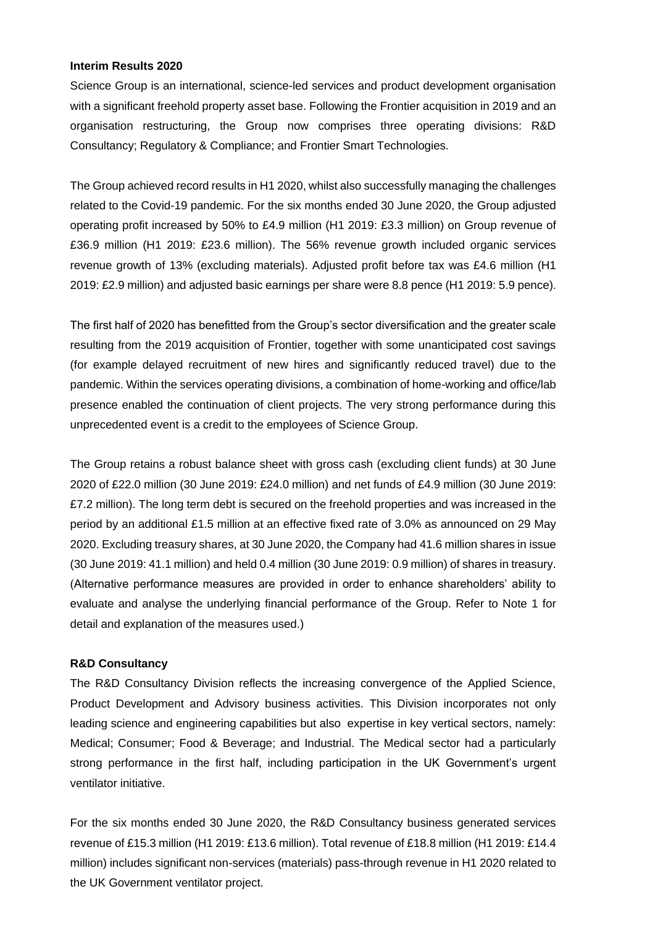#### **Interim Results 2020**

Science Group is an international, science-led services and product development organisation with a significant freehold property asset base. Following the Frontier acquisition in 2019 and an organisation restructuring, the Group now comprises three operating divisions: R&D Consultancy; Regulatory & Compliance; and Frontier Smart Technologies.

The Group achieved record results in H1 2020, whilst also successfully managing the challenges related to the Covid-19 pandemic. For the six months ended 30 June 2020, the Group adjusted operating profit increased by 50% to £4.9 million (H1 2019: £3.3 million) on Group revenue of £36.9 million (H1 2019: £23.6 million). The 56% revenue growth included organic services revenue growth of 13% (excluding materials). Adjusted profit before tax was £4.6 million (H1 2019: £2.9 million) and adjusted basic earnings per share were 8.8 pence (H1 2019: 5.9 pence).

The first half of 2020 has benefitted from the Group's sector diversification and the greater scale resulting from the 2019 acquisition of Frontier, together with some unanticipated cost savings (for example delayed recruitment of new hires and significantly reduced travel) due to the pandemic. Within the services operating divisions, a combination of home-working and office/lab presence enabled the continuation of client projects. The very strong performance during this unprecedented event is a credit to the employees of Science Group.

The Group retains a robust balance sheet with gross cash (excluding client funds) at 30 June 2020 of £22.0 million (30 June 2019: £24.0 million) and net funds of £4.9 million (30 June 2019: £7.2 million). The long term debt is secured on the freehold properties and was increased in the period by an additional £1.5 million at an effective fixed rate of 3.0% as announced on 29 May 2020. Excluding treasury shares, at 30 June 2020, the Company had 41.6 million shares in issue (30 June 2019: 41.1 million) and held 0.4 million (30 June 2019: 0.9 million) of shares in treasury. (Alternative performance measures are provided in order to enhance shareholders' ability to evaluate and analyse the underlying financial performance of the Group. Refer to Note 1 for detail and explanation of the measures used.)

#### **R&D Consultancy**

The R&D Consultancy Division reflects the increasing convergence of the Applied Science, Product Development and Advisory business activities. This Division incorporates not only leading science and engineering capabilities but also expertise in key vertical sectors, namely: Medical; Consumer; Food & Beverage; and Industrial. The Medical sector had a particularly strong performance in the first half, including participation in the UK Government's urgent ventilator initiative.

For the six months ended 30 June 2020, the R&D Consultancy business generated services revenue of £15.3 million (H1 2019: £13.6 million). Total revenue of £18.8 million (H1 2019: £14.4 million) includes significant non-services (materials) pass-through revenue in H1 2020 related to the UK Government ventilator project.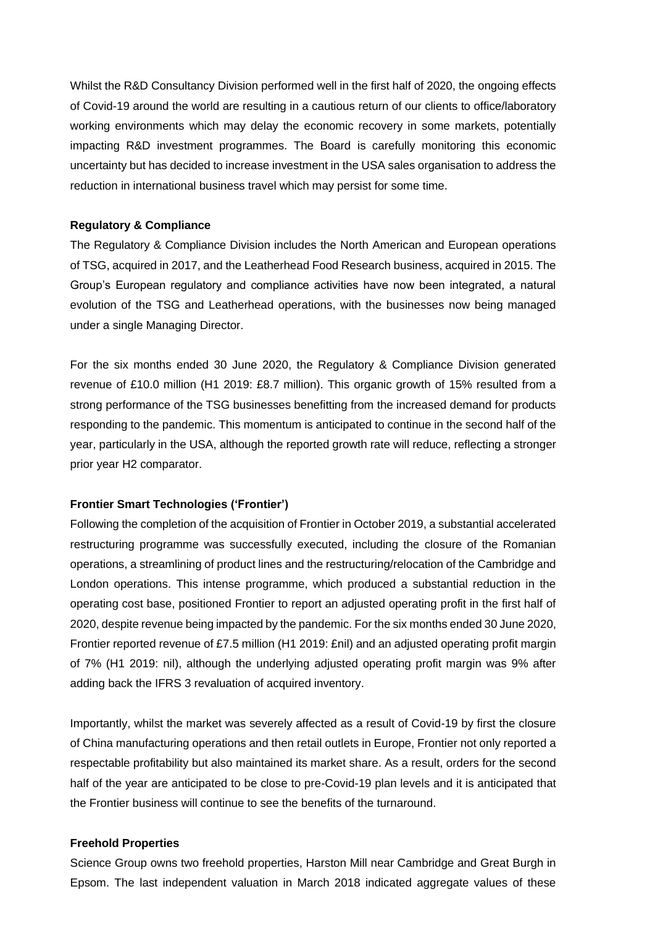Whilst the R&D Consultancy Division performed well in the first half of 2020, the ongoing effects of Covid-19 around the world are resulting in a cautious return of our clients to office/laboratory working environments which may delay the economic recovery in some markets, potentially impacting R&D investment programmes. The Board is carefully monitoring this economic uncertainty but has decided to increase investment in the USA sales organisation to address the reduction in international business travel which may persist for some time.

# **Regulatory & Compliance**

The Regulatory & Compliance Division includes the North American and European operations of TSG, acquired in 2017, and the Leatherhead Food Research business, acquired in 2015. The Group's European regulatory and compliance activities have now been integrated, a natural evolution of the TSG and Leatherhead operations, with the businesses now being managed under a single Managing Director.

For the six months ended 30 June 2020, the Regulatory & Compliance Division generated revenue of £10.0 million (H1 2019: £8.7 million). This organic growth of 15% resulted from a strong performance of the TSG businesses benefitting from the increased demand for products responding to the pandemic. This momentum is anticipated to continue in the second half of the year, particularly in the USA, although the reported growth rate will reduce, reflecting a stronger prior year H2 comparator.

# **Frontier Smart Technologies ('Frontier')**

Following the completion of the acquisition of Frontier in October 2019, a substantial accelerated restructuring programme was successfully executed, including the closure of the Romanian operations, a streamlining of product lines and the restructuring/relocation of the Cambridge and London operations. This intense programme, which produced a substantial reduction in the operating cost base, positioned Frontier to report an adjusted operating profit in the first half of 2020, despite revenue being impacted by the pandemic. For the six months ended 30 June 2020, Frontier reported revenue of £7.5 million (H1 2019: £nil) and an adjusted operating profit margin of 7% (H1 2019: nil), although the underlying adjusted operating profit margin was 9% after adding back the IFRS 3 revaluation of acquired inventory.

Importantly, whilst the market was severely affected as a result of Covid-19 by first the closure of China manufacturing operations and then retail outlets in Europe, Frontier not only reported a respectable profitability but also maintained its market share. As a result, orders for the second half of the year are anticipated to be close to pre-Covid-19 plan levels and it is anticipated that the Frontier business will continue to see the benefits of the turnaround.

# **Freehold Properties**

Science Group owns two freehold properties, Harston Mill near Cambridge and Great Burgh in Epsom. The last independent valuation in March 2018 indicated aggregate values of these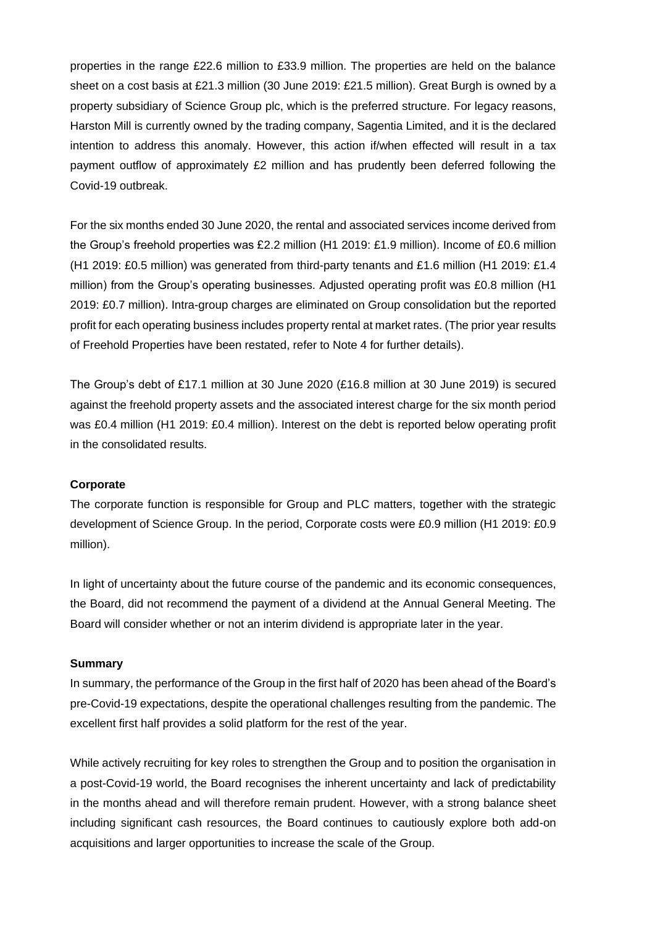properties in the range £22.6 million to £33.9 million. The properties are held on the balance sheet on a cost basis at £21.3 million (30 June 2019: £21.5 million). Great Burgh is owned by a property subsidiary of Science Group plc, which is the preferred structure. For legacy reasons, Harston Mill is currently owned by the trading company, Sagentia Limited, and it is the declared intention to address this anomaly. However, this action if/when effected will result in a tax payment outflow of approximately £2 million and has prudently been deferred following the Covid-19 outbreak.

For the six months ended 30 June 2020, the rental and associated services income derived from the Group's freehold properties was £2.2 million (H1 2019: £1.9 million). Income of £0.6 million (H1 2019: £0.5 million) was generated from third-party tenants and £1.6 million (H1 2019: £1.4 million) from the Group's operating businesses. Adjusted operating profit was £0.8 million (H1 2019: £0.7 million). Intra-group charges are eliminated on Group consolidation but the reported profit for each operating business includes property rental at market rates. (The prior year results of Freehold Properties have been restated, refer to Note 4 for further details).

The Group's debt of £17.1 million at 30 June 2020 (£16.8 million at 30 June 2019) is secured against the freehold property assets and the associated interest charge for the six month period was £0.4 million (H1 2019: £0.4 million). Interest on the debt is reported below operating profit in the consolidated results.

#### **Corporate**

The corporate function is responsible for Group and PLC matters, together with the strategic development of Science Group. In the period, Corporate costs were £0.9 million (H1 2019: £0.9 million).

In light of uncertainty about the future course of the pandemic and its economic consequences, the Board, did not recommend the payment of a dividend at the Annual General Meeting. The Board will consider whether or not an interim dividend is appropriate later in the year.

#### **Summary**

In summary, the performance of the Group in the first half of 2020 has been ahead of the Board's pre-Covid-19 expectations, despite the operational challenges resulting from the pandemic. The excellent first half provides a solid platform for the rest of the year.

While actively recruiting for key roles to strengthen the Group and to position the organisation in a post-Covid-19 world, the Board recognises the inherent uncertainty and lack of predictability in the months ahead and will therefore remain prudent. However, with a strong balance sheet including significant cash resources, the Board continues to cautiously explore both add-on acquisitions and larger opportunities to increase the scale of the Group.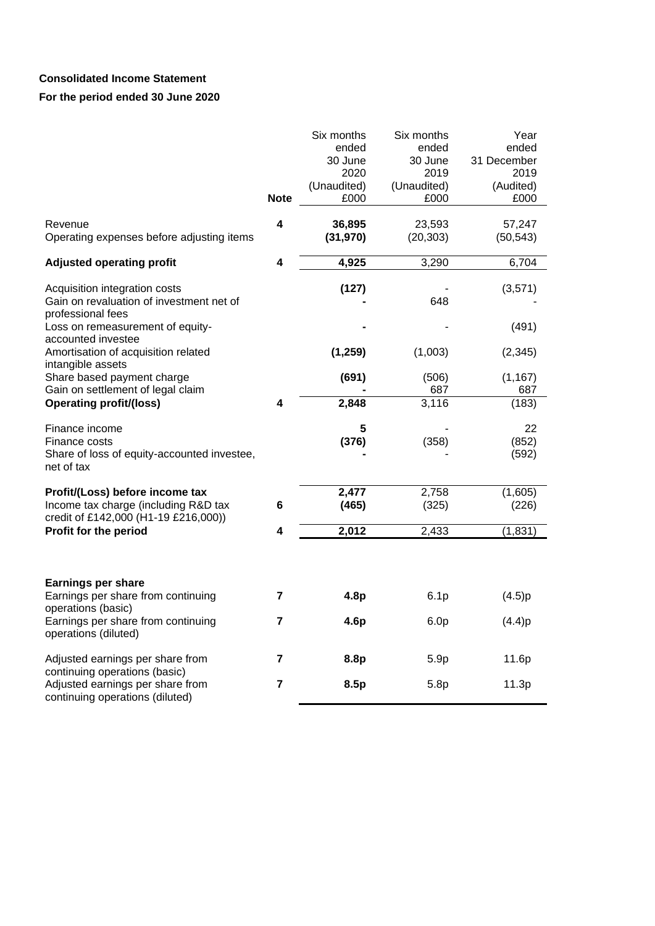# **Consolidated Income Statement**

|                                                                                                                 |             | Six months<br>ended<br>30 June<br>2020 | Six months<br>ended<br>30 June<br>2019 | Year<br>ended<br>31 December<br>2019 |
|-----------------------------------------------------------------------------------------------------------------|-------------|----------------------------------------|----------------------------------------|--------------------------------------|
|                                                                                                                 | <b>Note</b> | (Unaudited)<br>£000                    | (Unaudited)<br>£000                    | (Audited)<br>£000                    |
| Revenue<br>Operating expenses before adjusting items                                                            | 4           | 36,895<br>(31, 970)                    | 23,593<br>(20, 303)                    | 57,247<br>(50, 543)                  |
| <b>Adjusted operating profit</b>                                                                                | 4           | 4,925                                  | 3,290                                  | 6,704                                |
| Acquisition integration costs<br>Gain on revaluation of investment net of<br>professional fees                  |             | (127)                                  | 648                                    | (3,571)                              |
| Loss on remeasurement of equity-<br>accounted investee                                                          |             |                                        |                                        | (491)                                |
| Amortisation of acquisition related<br>intangible assets                                                        |             | (1, 259)                               | (1,003)                                | (2, 345)                             |
| Share based payment charge<br>Gain on settlement of legal claim                                                 |             | (691)                                  | (506)<br>687                           | (1, 167)<br>687                      |
| <b>Operating profit/(loss)</b>                                                                                  | 4           | 2,848                                  | 3,116                                  | (183)                                |
| Finance income<br>Finance costs<br>Share of loss of equity-accounted investee,<br>net of tax                    |             | 5<br>(376)                             | (358)                                  | 22<br>(852)<br>(592)                 |
| Profit/(Loss) before income tax<br>Income tax charge (including R&D tax<br>credit of £142,000 (H1-19 £216,000)) | 6           | 2,477<br>(465)                         | 2,758<br>(325)                         | (1,605)<br>(226)                     |
| Profit for the period                                                                                           | 4           | 2,012                                  | 2,433                                  | (1, 831)                             |
|                                                                                                                 |             |                                        |                                        |                                      |
| <b>Earnings per share</b><br>Earnings per share from continuing<br>operations (basic)                           | 7           | 4.8 <sub>p</sub>                       | 6.1p                                   | (4.5)p                               |
| Earnings per share from continuing<br>operations (diluted)                                                      | 7           | 4.6p                                   | 6.0 <sub>p</sub>                       | (4.4)p                               |
| Adjusted earnings per share from<br>continuing operations (basic)                                               | 7           | 8.8p                                   | 5.9p                                   | 11.6p                                |
| Adjusted earnings per share from<br>continuing operations (diluted)                                             | 7           | 8.5p                                   | 5.8p                                   | 11.3p                                |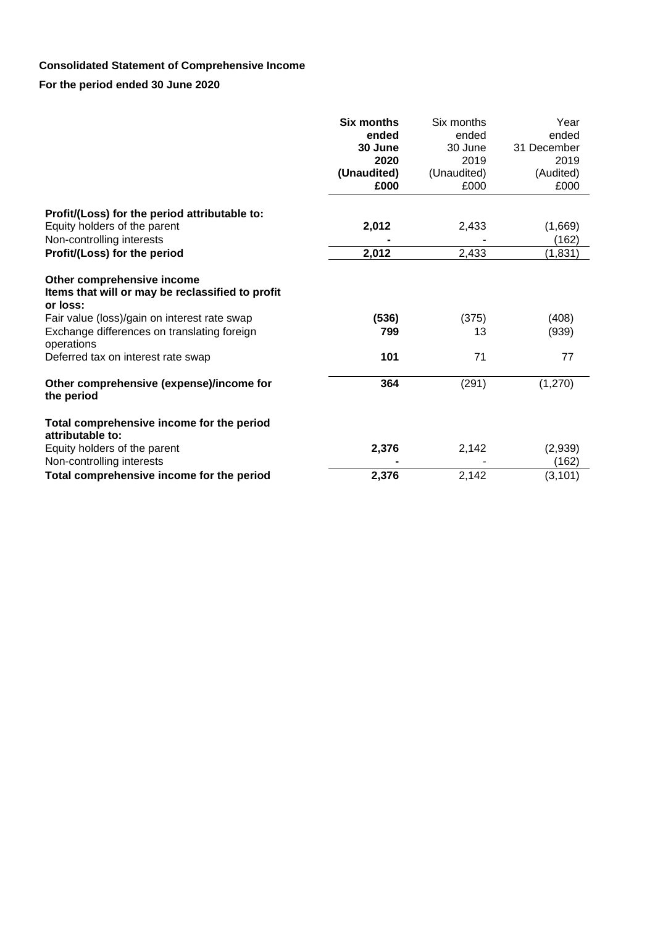# **Consolidated Statement of Comprehensive Income**

|                                                                                            | <b>Six months</b><br>ended<br>30 June<br>2020<br>(Unaudited)<br>£000 | Six months<br>ended<br>30 June<br>2019<br>(Unaudited)<br>£000 | Year<br>ended<br>31 December<br>2019<br>(Audited)<br>£000 |
|--------------------------------------------------------------------------------------------|----------------------------------------------------------------------|---------------------------------------------------------------|-----------------------------------------------------------|
| Profit/(Loss) for the period attributable to:                                              |                                                                      |                                                               |                                                           |
| Equity holders of the parent                                                               | 2,012                                                                | 2,433                                                         | (1,669)                                                   |
| Non-controlling interests                                                                  |                                                                      |                                                               | (162)                                                     |
| Profit/(Loss) for the period                                                               | 2,012                                                                | 2,433                                                         | (1,831)                                                   |
| Other comprehensive income<br>Items that will or may be reclassified to profit<br>or loss: |                                                                      |                                                               |                                                           |
| Fair value (loss)/gain on interest rate swap                                               | (536)                                                                | (375)                                                         | (408)                                                     |
| Exchange differences on translating foreign<br>operations                                  | 799                                                                  | 13                                                            | (939)                                                     |
| Deferred tax on interest rate swap                                                         | 101                                                                  | 71                                                            | 77                                                        |
| Other comprehensive (expense)/income for<br>the period                                     | 364                                                                  | (291)                                                         | (1, 270)                                                  |
| Total comprehensive income for the period<br>attributable to:                              |                                                                      |                                                               |                                                           |
| Equity holders of the parent                                                               | 2,376                                                                | 2,142                                                         | (2,939)                                                   |
| Non-controlling interests                                                                  |                                                                      |                                                               | (162)                                                     |
| Total comprehensive income for the period                                                  | 2,376                                                                | 2,142                                                         | (3, 101)                                                  |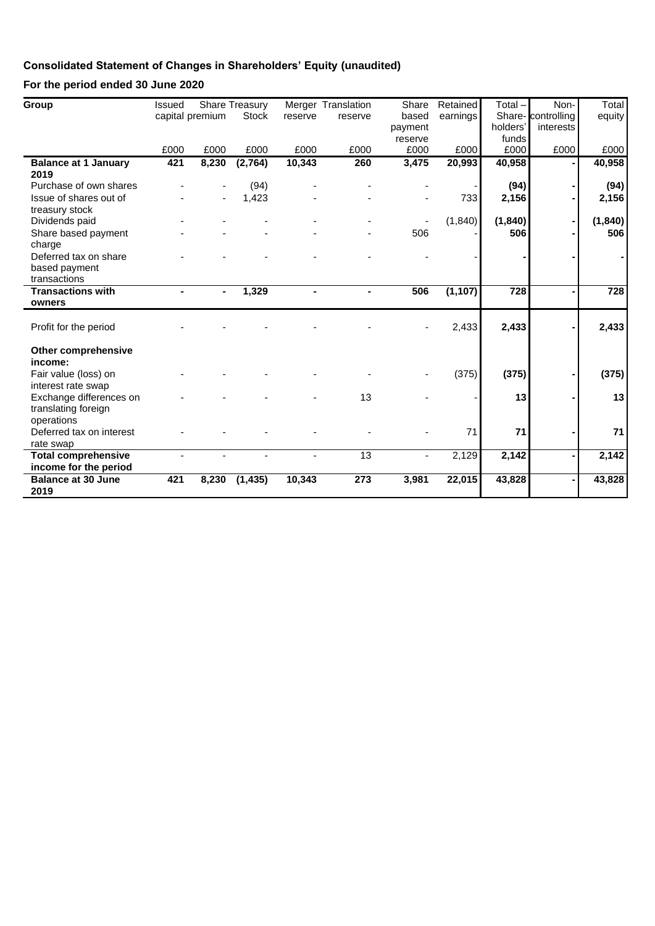# **Consolidated Statement of Changes in Shareholders' Equity (unaudited)**

| Group                       | <b>Issued</b> |                 | <b>Share Treasury</b> |                          | Merger Translation | Share          | Retained | Total-   | Non-              | Total            |
|-----------------------------|---------------|-----------------|-----------------------|--------------------------|--------------------|----------------|----------|----------|-------------------|------------------|
|                             |               | capital premium | <b>Stock</b>          | reserve                  | reserve            | based          | earnings |          | Share-controlling | equity           |
|                             |               |                 |                       |                          |                    | payment        |          | holders' | interests         |                  |
|                             |               |                 |                       |                          |                    | reserve        |          | funds    |                   |                  |
|                             | £000          | £000            | £000                  | £000                     | £000               | £000           | £000     | £000     | £000              | £000             |
| <b>Balance at 1 January</b> | 421           | 8,230           | (2,764)               | 10,343                   | 260                | 3,475          | 20,993   | 40,958   |                   | 40,958           |
| 2019                        |               |                 |                       |                          |                    |                |          |          |                   |                  |
| Purchase of own shares      |               |                 | (94)                  |                          |                    |                |          | (94)     |                   | (94)             |
| Issue of shares out of      |               |                 | 1,423                 |                          |                    |                | 733      | 2,156    |                   | 2,156            |
| treasury stock              |               |                 |                       |                          |                    |                |          |          |                   |                  |
| Dividends paid              |               |                 |                       |                          |                    |                | (1, 840) | (1, 840) |                   | (1, 840)         |
| Share based payment         |               |                 |                       |                          |                    | 506            |          | 506      |                   | 506              |
| charge                      |               |                 |                       |                          |                    |                |          |          |                   |                  |
| Deferred tax on share       |               |                 |                       |                          |                    |                |          |          |                   |                  |
| based payment               |               |                 |                       |                          |                    |                |          |          |                   |                  |
| transactions                |               |                 |                       |                          |                    |                |          |          |                   |                  |
| <b>Transactions with</b>    |               |                 | 1,329                 |                          |                    | 506            | (1, 107) | 728      |                   | $\overline{728}$ |
| owners                      |               |                 |                       |                          |                    |                |          |          |                   |                  |
|                             |               |                 |                       |                          |                    |                |          |          |                   |                  |
| Profit for the period       |               |                 |                       |                          |                    |                | 2,433    | 2,433    |                   | 2,433            |
|                             |               |                 |                       |                          |                    |                |          |          |                   |                  |
| <b>Other comprehensive</b>  |               |                 |                       |                          |                    |                |          |          |                   |                  |
| income:                     |               |                 |                       |                          |                    |                |          |          |                   |                  |
| Fair value (loss) on        |               |                 |                       |                          |                    |                | (375)    | (375)    |                   | (375)            |
| interest rate swap          |               |                 |                       |                          |                    |                |          |          |                   |                  |
| Exchange differences on     |               |                 |                       |                          | 13                 |                |          | 13       |                   | 13               |
| translating foreign         |               |                 |                       |                          |                    |                |          |          |                   |                  |
| operations                  |               |                 |                       |                          |                    |                |          |          |                   |                  |
| Deferred tax on interest    |               |                 |                       |                          |                    |                | 71       | 71       |                   | 71               |
| rate swap                   |               |                 |                       |                          |                    |                |          |          |                   |                  |
| <b>Total comprehensive</b>  |               | $\blacksquare$  |                       | $\overline{\phantom{a}}$ | 13                 | $\blacksquare$ | 2,129    | 2,142    |                   | 2,142            |
| income for the period       |               |                 |                       |                          |                    |                |          |          |                   |                  |
| <b>Balance at 30 June</b>   | 421           | 8,230           | (1, 435)              | 10,343                   | 273                | 3,981          | 22,015   | 43,828   |                   | 43,828           |
| 2019                        |               |                 |                       |                          |                    |                |          |          |                   |                  |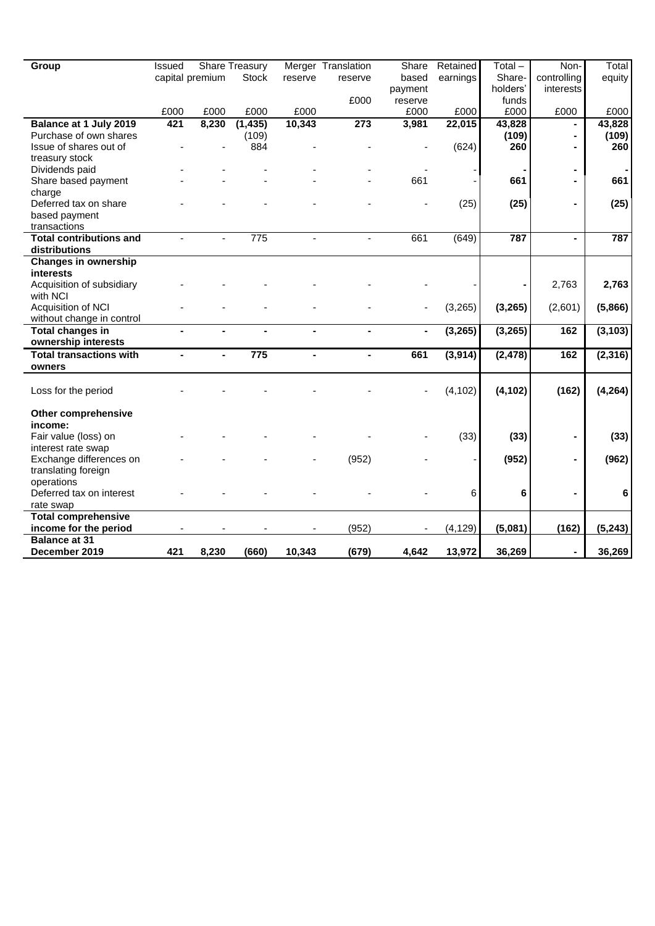| Group                          | Issued         |                 | <b>Share Treasury</b> |                | Merger Translation | Share   | Retained | $Total -$ | Non-           | Total          |
|--------------------------------|----------------|-----------------|-----------------------|----------------|--------------------|---------|----------|-----------|----------------|----------------|
|                                |                | capital premium | <b>Stock</b>          | reserve        | reserve            | based   | earnings | Share-    | controlling    | equity         |
|                                |                |                 |                       |                |                    | payment |          | holders'  | interests      |                |
|                                |                |                 |                       |                | £000               | reserve |          | funds     |                |                |
|                                | £000           | £000            | £000                  | £000           |                    | £000    | £000     | £000      | £000           | £000           |
| Balance at 1 July 2019         | 421            | 8,230           | (1, 435)              | 10,343         | 273                | 3,981   | 22,015   | 43,828    |                | 43,828         |
| Purchase of own shares         |                |                 | (109)                 |                |                    |         |          | (109)     |                | (109)          |
| Issue of shares out of         |                |                 | 884                   |                |                    |         | (624)    | 260       | $\blacksquare$ | 260            |
| treasury stock                 |                |                 |                       |                |                    |         |          |           |                |                |
| Dividends paid                 |                |                 |                       |                |                    |         |          |           | ۰              | $\blacksquare$ |
| Share based payment            |                |                 |                       |                |                    | 661     |          | 661       |                | 661            |
| charge                         |                |                 |                       |                |                    |         |          |           |                |                |
| Deferred tax on share          |                |                 |                       |                |                    |         | (25)     | (25)      |                | (25)           |
| based payment                  |                |                 |                       |                |                    |         |          |           |                |                |
| transactions                   |                |                 |                       |                |                    |         |          |           |                |                |
| <b>Total contributions and</b> |                |                 | $\overline{775}$      |                |                    | 661     | (649)    | 787       |                | 787            |
| distributions                  |                |                 |                       |                |                    |         |          |           |                |                |
| <b>Changes in ownership</b>    |                |                 |                       |                |                    |         |          |           |                |                |
| <b>interests</b>               |                |                 |                       |                |                    |         |          |           |                |                |
| Acquisition of subsidiary      |                |                 |                       |                |                    |         |          |           | 2,763          | 2,763          |
| with NCI                       |                |                 |                       |                |                    |         |          |           |                |                |
| Acquisition of NCI             |                |                 |                       |                |                    |         | (3,265)  | (3, 265)  | (2,601)        | (5,866)        |
| without change in control      |                |                 |                       |                |                    |         |          |           |                |                |
| <b>Total changes in</b>        |                | $\overline{a}$  |                       |                |                    | ä,      | (3, 265) | (3, 265)  | 162            | (3, 103)       |
| ownership interests            |                |                 |                       |                |                    |         |          |           |                |                |
| <b>Total transactions with</b> | $\blacksquare$ | $\blacksquare$  | 775                   | $\blacksquare$ |                    | 661     | (3,914)  | (2, 478)  | 162            | (2, 316)       |
| owners                         |                |                 |                       |                |                    |         |          |           |                |                |
|                                |                |                 |                       |                |                    |         |          |           |                |                |
| Loss for the period            |                |                 |                       |                |                    |         | (4, 102) | (4, 102)  | (162)          | (4, 264)       |
| <b>Other comprehensive</b>     |                |                 |                       |                |                    |         |          |           |                |                |
| income:                        |                |                 |                       |                |                    |         |          |           |                |                |
| Fair value (loss) on           |                |                 |                       |                |                    |         | (33)     | (33)      |                | (33)           |
| interest rate swap             |                |                 |                       |                |                    |         |          |           |                |                |
| Exchange differences on        |                |                 |                       |                | (952)              |         |          | (952)     |                | (962)          |
| translating foreign            |                |                 |                       |                |                    |         |          |           |                |                |
| operations                     |                |                 |                       |                |                    |         |          |           |                |                |
| Deferred tax on interest       |                |                 |                       |                |                    |         | 6        | 6         |                | 6              |
| rate swap                      |                |                 |                       |                |                    |         |          |           |                |                |
| <b>Total comprehensive</b>     |                |                 |                       |                |                    |         |          |           |                |                |
| income for the period          |                |                 |                       |                | (952)              |         | (4, 129) | (5,081)   | (162)          | (5, 243)       |
| <b>Balance at 31</b>           |                |                 |                       |                |                    |         |          |           |                |                |
| December 2019                  | 421            | 8,230           | (660)                 | 10,343         | (679)              | 4,642   | 13,972   | 36,269    |                | 36,269         |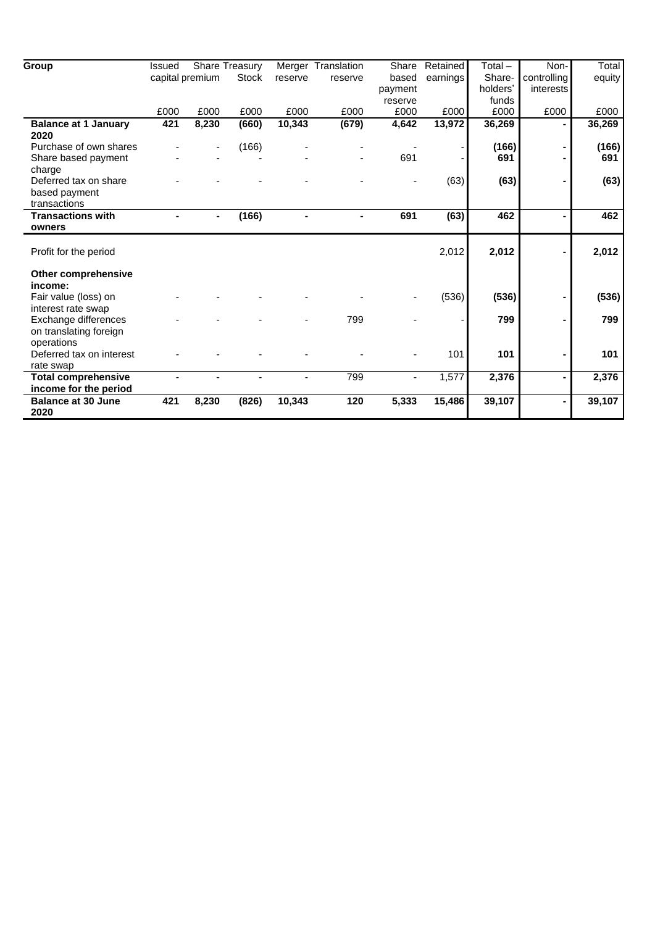| Group                                      | <b>Issued</b>   |       | Share Treasury |         | Merger Translation | Share   | Retained | Total $-$ | Non-           | Total  |
|--------------------------------------------|-----------------|-------|----------------|---------|--------------------|---------|----------|-----------|----------------|--------|
|                                            | capital premium |       | <b>Stock</b>   | reserve | reserve            | based   | earnings | Share-    | controlling    | equity |
|                                            |                 |       |                |         |                    | payment |          | holders'  | interests      |        |
|                                            |                 |       |                |         |                    | reserve |          | funds     |                |        |
|                                            | £000            | £000  | £000           | £000    | £000               | £000    | £000     | £000      | £000           | £000   |
| <b>Balance at 1 January</b><br>2020        | 421             | 8,230 | (660)          | 10,343  | (679)              | 4,642   | 13,972   | 36,269    |                | 36,269 |
| Purchase of own shares                     |                 |       | (166)          |         |                    |         |          | (166)     |                | (166)  |
| Share based payment                        |                 |       |                |         |                    | 691     |          | 691       |                | 691    |
| charge<br>Deferred tax on share            |                 |       |                |         |                    |         | (63)     | (63)      |                | (63)   |
| based payment                              |                 |       |                |         |                    |         |          |           |                |        |
| transactions                               |                 |       |                |         |                    |         |          |           |                |        |
| <b>Transactions with</b>                   |                 |       | (166)          |         | $\blacksquare$     | 691     | (63)     | 462       | ٠              | 462    |
| owners                                     |                 |       |                |         |                    |         |          |           |                |        |
| Profit for the period                      |                 |       |                |         |                    |         | 2,012    | 2,012     |                | 2,012  |
| <b>Other comprehensive</b>                 |                 |       |                |         |                    |         |          |           |                |        |
| income:                                    |                 |       |                |         |                    |         |          |           |                |        |
| Fair value (loss) on<br>interest rate swap |                 |       |                |         |                    |         | (536)    | (536)     |                | (536)  |
| Exchange differences                       |                 |       |                |         | 799                |         |          | 799       |                | 799    |
| on translating foreign                     |                 |       |                |         |                    |         |          |           |                |        |
| operations                                 |                 |       |                |         |                    |         |          |           |                |        |
| Deferred tax on interest                   |                 |       |                |         |                    |         | 101      | 101       |                | 101    |
| rate swap                                  |                 |       |                |         |                    |         |          |           |                |        |
| <b>Total comprehensive</b>                 |                 |       |                |         | 799                |         | 1,577    | 2,376     | $\blacksquare$ | 2,376  |
| income for the period                      |                 |       |                |         |                    |         |          |           |                |        |
| <b>Balance at 30 June</b>                  | 421             | 8,230 | (826)          | 10,343  | 120                | 5,333   | 15,486   | 39,107    |                | 39,107 |
| 2020                                       |                 |       |                |         |                    |         |          |           |                |        |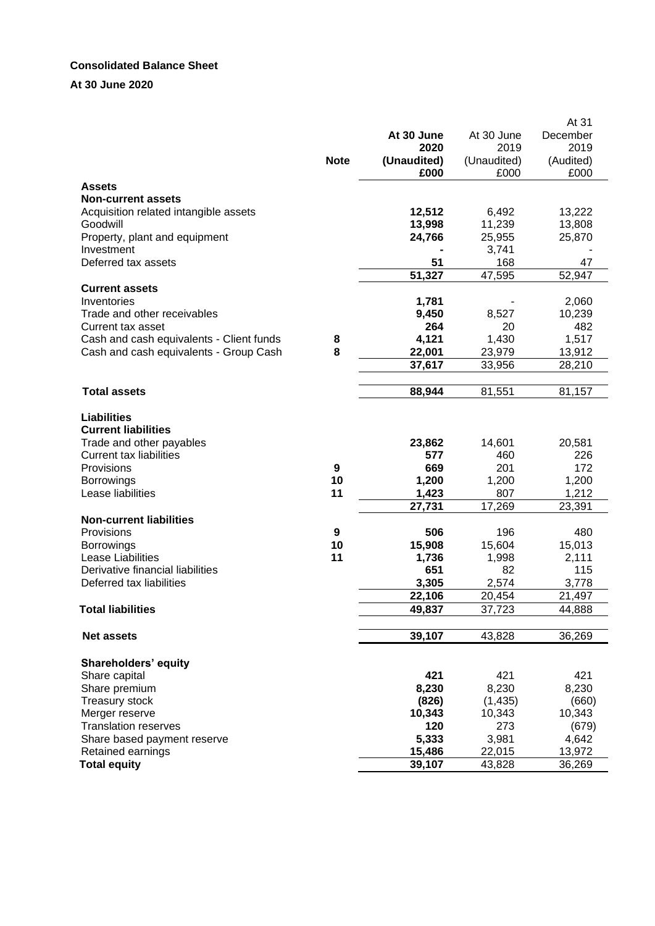#### **Consolidated Balance Sheet**

# **At 30 June 2020**

|                                          |             |             |             | At 31     |
|------------------------------------------|-------------|-------------|-------------|-----------|
|                                          |             | At 30 June  | At 30 June  | December  |
|                                          |             | 2020        | 2019        | 2019      |
|                                          | <b>Note</b> | (Unaudited) | (Unaudited) | (Audited) |
|                                          |             | £000        | £000        | £000      |
| <b>Assets</b>                            |             |             |             |           |
| <b>Non-current assets</b>                |             |             |             |           |
| Acquisition related intangible assets    |             | 12,512      | 6,492       | 13,222    |
| Goodwill                                 |             | 13,998      | 11,239      | 13,808    |
| Property, plant and equipment            |             | 24,766      | 25,955      | 25,870    |
| Investment                               |             |             | 3,741       |           |
| Deferred tax assets                      |             | 51          | 168         | 47        |
|                                          |             | 51,327      | 47,595      | 52,947    |
| <b>Current assets</b>                    |             |             |             |           |
| Inventories                              |             | 1,781       |             | 2,060     |
| Trade and other receivables              |             | 9,450       | 8,527       | 10,239    |
| Current tax asset                        |             | 264         | 20          | 482       |
| Cash and cash equivalents - Client funds | 8           | 4,121       | 1,430       | 1,517     |
| Cash and cash equivalents - Group Cash   | 8           | 22,001      | 23,979      | 13,912    |
|                                          |             | 37,617      | 33,956      | 28,210    |
|                                          |             |             |             |           |
| <b>Total assets</b>                      |             | 88,944      | 81,551      | 81,157    |
|                                          |             |             |             |           |
| <b>Liabilities</b>                       |             |             |             |           |
| <b>Current liabilities</b>               |             |             |             |           |
| Trade and other payables                 |             | 23,862      | 14,601      | 20,581    |
| <b>Current tax liabilities</b>           |             | 577         | 460         | 226       |
| Provisions                               | 9           | 669         | 201         | 172       |
| <b>Borrowings</b>                        | 10          | 1,200       | 1,200       | 1,200     |
| Lease liabilities                        | 11          | 1,423       | 807         | 1,212     |
|                                          |             | 27,731      | 17,269      | 23,391    |
| <b>Non-current liabilities</b>           |             |             |             |           |
| Provisions                               | 9           | 506         | 196         | 480       |
| <b>Borrowings</b>                        | 10          | 15,908      | 15,604      | 15,013    |
| Lease Liabilities                        | 11          | 1,736       | 1,998       | 2,111     |
| Derivative financial liabilities         |             | 651         | 82          | 115       |
| Deferred tax liabilities                 |             | 3,305       | 2,574       | 3,778     |
|                                          |             | 22,106      | 20,454      | 21,497    |
| <b>Total liabilities</b>                 |             | 49,837      | 37,723      | 44,888    |
|                                          |             |             |             |           |
| <b>Net assets</b>                        |             | 39,107      | 43,828      | 36,269    |
|                                          |             |             |             |           |
| <b>Shareholders' equity</b>              |             |             |             |           |
| Share capital                            |             | 421         | 421         | 421       |
| Share premium                            |             | 8,230       | 8,230       | 8,230     |
| <b>Treasury stock</b>                    |             | (826)       | (1, 435)    | (660)     |
| Merger reserve                           |             | 10,343      | 10,343      | 10,343    |
| <b>Translation reserves</b>              |             | 120         | 273         | (679)     |
| Share based payment reserve              |             | 5,333       | 3,981       | 4,642     |
| Retained earnings                        |             | 15,486      | 22,015      | 13,972    |
| <b>Total equity</b>                      |             | 39,107      | 43,828      | 36,269    |
|                                          |             |             |             |           |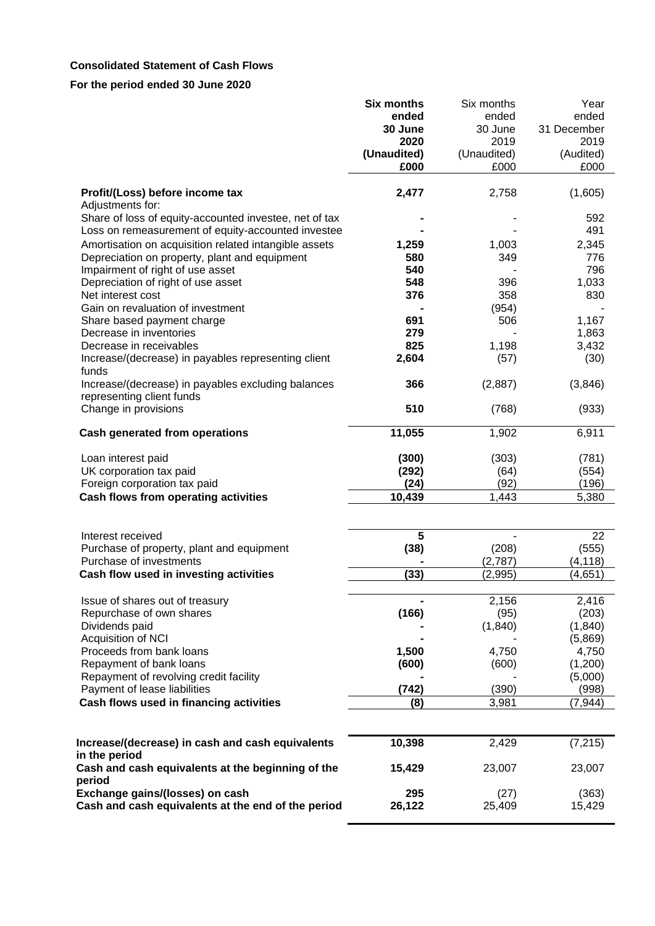# **Consolidated Statement of Cash Flows**

|                                                                                                              | <b>Six months</b> | Six months               | Year                |
|--------------------------------------------------------------------------------------------------------------|-------------------|--------------------------|---------------------|
|                                                                                                              | ended             | ended                    | ended               |
|                                                                                                              | 30 June<br>2020   | 30 June<br>2019          | 31 December<br>2019 |
|                                                                                                              | (Unaudited)       | (Unaudited)              | (Audited)           |
|                                                                                                              | £000              | £000                     | £000                |
|                                                                                                              |                   |                          |                     |
| Profit/(Loss) before income tax<br>Adjustments for:                                                          | 2,477             | 2,758                    | (1,605)             |
| Share of loss of equity-accounted investee, net of tax<br>Loss on remeasurement of equity-accounted investee |                   |                          | 592<br>491          |
| Amortisation on acquisition related intangible assets                                                        | 1,259             | 1,003                    | 2,345               |
| Depreciation on property, plant and equipment                                                                | 580               | 349                      | 776                 |
| Impairment of right of use asset                                                                             | 540               |                          | 796                 |
| Depreciation of right of use asset                                                                           | 548               | 396                      | 1,033               |
| Net interest cost                                                                                            | 376               | 358                      | 830                 |
| Gain on revaluation of investment                                                                            |                   | (954)                    |                     |
| Share based payment charge                                                                                   | 691               | 506                      | 1,167               |
| Decrease in inventories                                                                                      | 279               |                          | 1,863               |
| Decrease in receivables                                                                                      | 825               | 1,198                    | 3,432               |
| Increase/(decrease) in payables representing client<br>funds                                                 | 2,604             | (57)                     | (30)                |
| Increase/(decrease) in payables excluding balances<br>representing client funds                              | 366               | (2,887)                  | (3,846)             |
| Change in provisions                                                                                         | 510               | (768)                    | (933)               |
| <b>Cash generated from operations</b>                                                                        | 11,055            | 1,902                    | 6,911               |
| Loan interest paid                                                                                           | (300)             | (303)                    | (781)               |
| UK corporation tax paid                                                                                      | (292)             | (64)                     | (554)               |
| Foreign corporation tax paid                                                                                 | (24)              | (92)                     | (196)               |
| Cash flows from operating activities                                                                         | 10,439            | 1,443                    | 5,380               |
|                                                                                                              |                   |                          |                     |
| Interest received                                                                                            | 5                 | $\overline{\phantom{a}}$ | 22                  |
| Purchase of property, plant and equipment                                                                    | (38)              | (208)                    | (555)               |
| Purchase of investments                                                                                      |                   | (2,787)                  | (4, 118)            |
| Cash flow used in investing activities                                                                       | (33)              | (2,995)                  | (4,651)             |
| Issue of shares out of treasury                                                                              |                   | 2,156                    | 2,416               |
| Repurchase of own shares                                                                                     | (166)             | (95)                     | (203)               |
| Dividends paid                                                                                               |                   | (1, 840)                 | (1, 840)            |
| Acquisition of NCI                                                                                           |                   |                          | (5,869)             |
| Proceeds from bank loans                                                                                     | 1,500             | 4,750                    | 4,750               |
| Repayment of bank loans                                                                                      | (600)             | (600)                    | (1,200)             |
| Repayment of revolving credit facility                                                                       |                   |                          | (5,000)             |
| Payment of lease liabilities                                                                                 | (742)             | (390)                    | (998)               |
| Cash flows used in financing activities                                                                      | (8)               | 3,981                    | (7, 944)            |
|                                                                                                              |                   |                          |                     |
| Increase/(decrease) in cash and cash equivalents                                                             | 10,398            | 2,429                    | (7, 215)            |
| in the period<br>Cash and cash equivalents at the beginning of the                                           | 15,429            | 23,007                   | 23,007              |
| period                                                                                                       |                   |                          |                     |
| Exchange gains/(losses) on cash                                                                              | 295               | (27)                     | (363)               |
| Cash and cash equivalents at the end of the period                                                           | 26,122            | 25,409                   | 15,429              |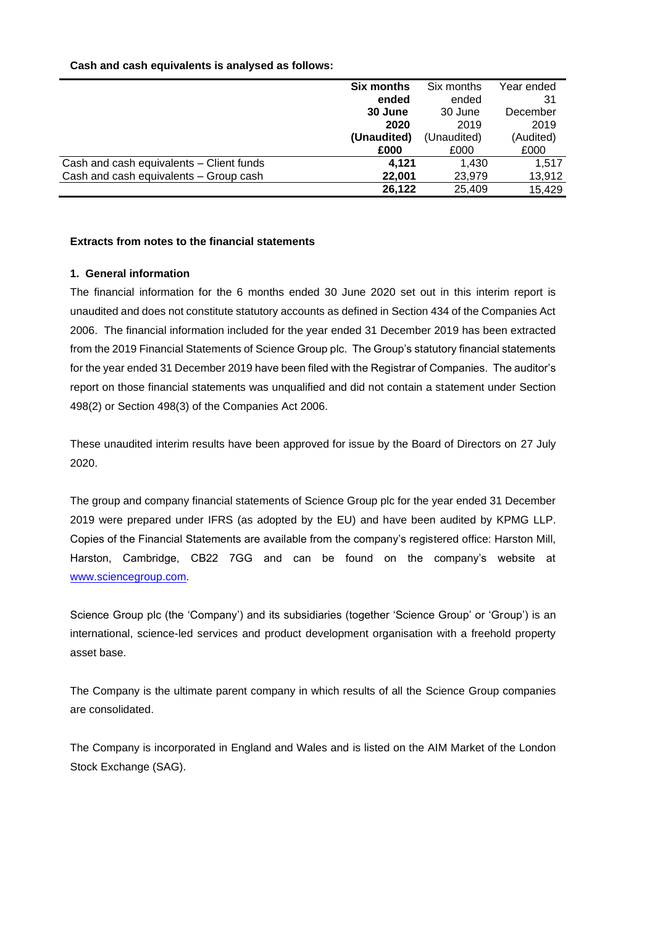|                                          | <b>Six months</b> | Six months  | Year ended |
|------------------------------------------|-------------------|-------------|------------|
|                                          | ended             | ended       | 31         |
|                                          | 30 June           | 30 June     | December   |
|                                          | 2020              | 2019        | 2019       |
|                                          | (Unaudited)       | (Unaudited) | (Audited)  |
|                                          | £000              | £000        | £000       |
| Cash and cash equivalents - Client funds | 4.121             | 1.430       | 1.517      |
| Cash and cash equivalents - Group cash   | 22.001            | 23,979      | 13,912     |
|                                          | 26,122            | 25,409      | 15.429     |

#### **Cash and cash equivalents is analysed as follows:**

#### **Extracts from notes to the financial statements**

#### **1. General information**

The financial information for the 6 months ended 30 June 2020 set out in this interim report is unaudited and does not constitute statutory accounts as defined in Section 434 of the Companies Act 2006. The financial information included for the year ended 31 December 2019 has been extracted from the 2019 Financial Statements of Science Group plc. The Group's statutory financial statements for the year ended 31 December 2019 have been filed with the Registrar of Companies. The auditor's report on those financial statements was unqualified and did not contain a statement under Section 498(2) or Section 498(3) of the Companies Act 2006.

These unaudited interim results have been approved for issue by the Board of Directors on 27 July 2020.

The group and company financial statements of Science Group plc for the year ended 31 December 2019 were prepared under IFRS (as adopted by the EU) and have been audited by KPMG LLP. Copies of the Financial Statements are available from the company's registered office: Harston Mill, Harston, Cambridge, CB22 7GG and can be found on the company's website at [www.sciencegroup.com.](http://www.sciencegroup.com/)

Science Group plc (the 'Company') and its subsidiaries (together 'Science Group' or 'Group') is an international, science-led services and product development organisation with a freehold property asset base.

The Company is the ultimate parent company in which results of all the Science Group companies are consolidated.

The Company is incorporated in England and Wales and is listed on the AIM Market of the London Stock Exchange (SAG).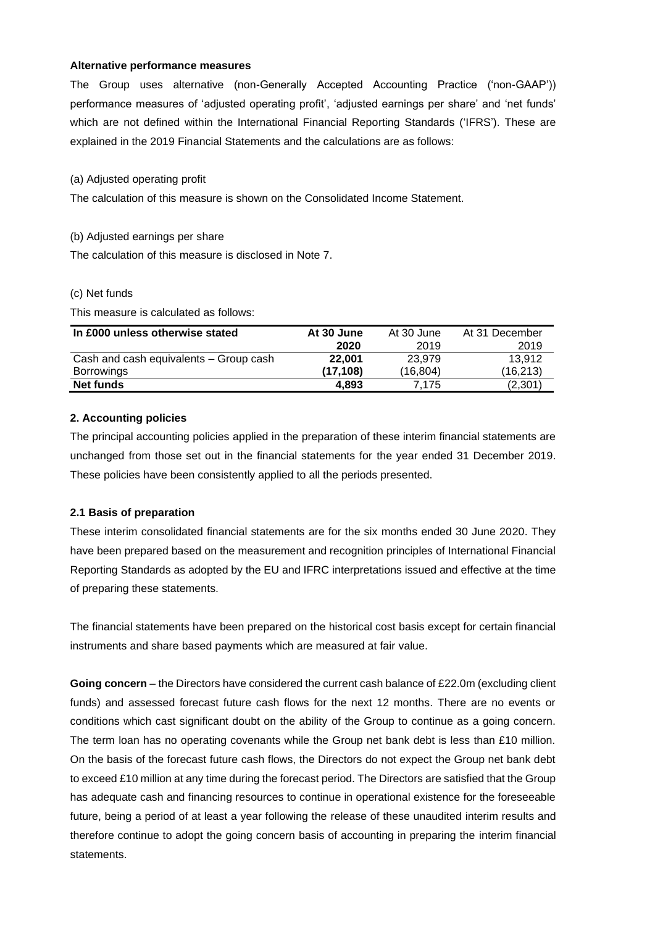#### **Alternative performance measures**

The Group uses alternative (non-Generally Accepted Accounting Practice ('non-GAAP')) performance measures of 'adjusted operating profit', 'adjusted earnings per share' and 'net funds' which are not defined within the International Financial Reporting Standards ('IFRS'). These are explained in the 2019 Financial Statements and the calculations are as follows:

#### (a) Adjusted operating profit

The calculation of this measure is shown on the Consolidated Income Statement.

#### (b) Adjusted earnings per share

The calculation of this measure is disclosed in Note 7.

#### (c) Net funds

This measure is calculated as follows:

| In £000 unless otherwise stated        | At 30 June | At 30 June | At 31 December |
|----------------------------------------|------------|------------|----------------|
|                                        | 2020       | 2019       | 2019           |
| Cash and cash equivalents - Group cash | 22.001     | 23.979     | 13.912         |
| Borrowings                             | (17.108)   | (16.804)   | (16,213)       |
| Net funds                              | 4.893      | 7.175      | (2,301)        |

# **2. Accounting policies**

The principal accounting policies applied in the preparation of these interim financial statements are unchanged from those set out in the financial statements for the year ended 31 December 2019. These policies have been consistently applied to all the periods presented.

# **2.1 Basis of preparation**

These interim consolidated financial statements are for the six months ended 30 June 2020. They have been prepared based on the measurement and recognition principles of International Financial Reporting Standards as adopted by the EU and IFRC interpretations issued and effective at the time of preparing these statements.

The financial statements have been prepared on the historical cost basis except for certain financial instruments and share based payments which are measured at fair value.

**Going concern** – the Directors have considered the current cash balance of £22.0m (excluding client funds) and assessed forecast future cash flows for the next 12 months. There are no events or conditions which cast significant doubt on the ability of the Group to continue as a going concern. The term loan has no operating covenants while the Group net bank debt is less than £10 million. On the basis of the forecast future cash flows, the Directors do not expect the Group net bank debt to exceed £10 million at any time during the forecast period. The Directors are satisfied that the Group has adequate cash and financing resources to continue in operational existence for the foreseeable future, being a period of at least a year following the release of these unaudited interim results and therefore continue to adopt the going concern basis of accounting in preparing the interim financial statements.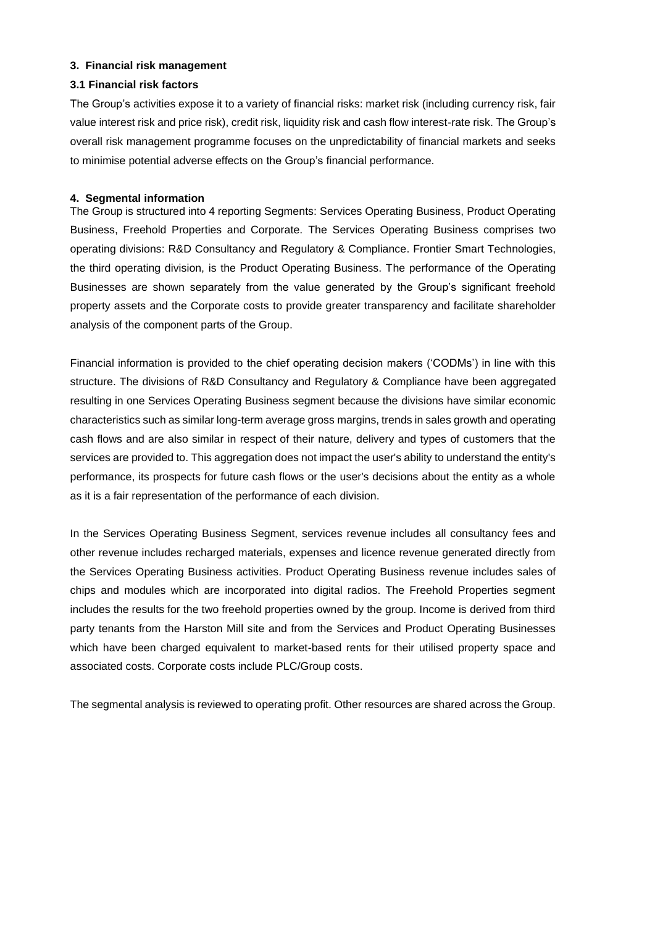#### **3. Financial risk management**

#### **3.1 Financial risk factors**

The Group's activities expose it to a variety of financial risks: market risk (including currency risk, fair value interest risk and price risk), credit risk, liquidity risk and cash flow interest-rate risk. The Group's overall risk management programme focuses on the unpredictability of financial markets and seeks to minimise potential adverse effects on the Group's financial performance.

#### **4. Segmental information**

The Group is structured into 4 reporting Segments: Services Operating Business, Product Operating Business, Freehold Properties and Corporate. The Services Operating Business comprises two operating divisions: R&D Consultancy and Regulatory & Compliance. Frontier Smart Technologies, the third operating division, is the Product Operating Business. The performance of the Operating Businesses are shown separately from the value generated by the Group's significant freehold property assets and the Corporate costs to provide greater transparency and facilitate shareholder analysis of the component parts of the Group.

Financial information is provided to the chief operating decision makers ('CODMs') in line with this structure. The divisions of R&D Consultancy and Regulatory & Compliance have been aggregated resulting in one Services Operating Business segment because the divisions have similar economic characteristics such as similar long-term average gross margins, trends in sales growth and operating cash flows and are also similar in respect of their nature, delivery and types of customers that the services are provided to. This aggregation does not impact the user's ability to understand the entity's performance, its prospects for future cash flows or the user's decisions about the entity as a whole as it is a fair representation of the performance of each division.

In the Services Operating Business Segment, services revenue includes all consultancy fees and other revenue includes recharged materials, expenses and licence revenue generated directly from the Services Operating Business activities. Product Operating Business revenue includes sales of chips and modules which are incorporated into digital radios. The Freehold Properties segment includes the results for the two freehold properties owned by the group. Income is derived from third party tenants from the Harston Mill site and from the Services and Product Operating Businesses which have been charged equivalent to market-based rents for their utilised property space and associated costs. Corporate costs include PLC/Group costs.

The segmental analysis is reviewed to operating profit. Other resources are shared across the Group.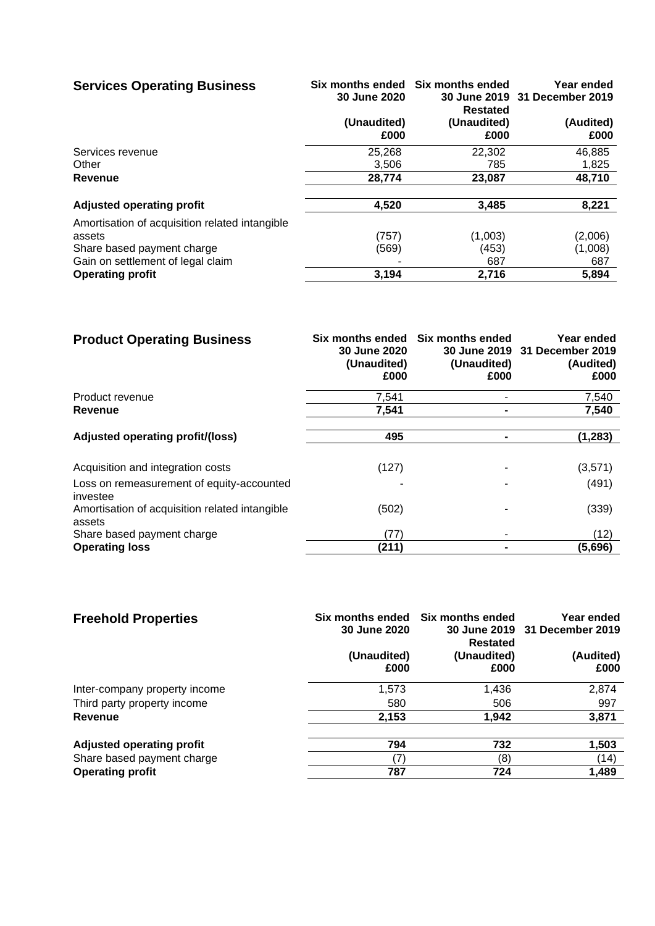| <b>Services Operating Business</b>             | 30 June 2020        | Six months ended Six months ended<br>Restated | Year ended<br>30 June 2019 31 December 2019 |
|------------------------------------------------|---------------------|-----------------------------------------------|---------------------------------------------|
|                                                | (Unaudited)<br>£000 | (Unaudited)<br>£000                           | (Audited)<br>£000                           |
| Services revenue                               | 25,268              | 22,302                                        | 46,885                                      |
| Other                                          | 3,506               | 785                                           | 1,825                                       |
| <b>Revenue</b>                                 | 28,774              | 23,087                                        | 48,710                                      |
| <b>Adjusted operating profit</b>               | 4,520               | 3,485                                         | 8,221                                       |
| Amortisation of acquisition related intangible |                     |                                               |                                             |
| assets                                         | (757)               | (1,003)                                       | (2,006)                                     |
| Share based payment charge                     | (569)               | (453)                                         | (1,008)                                     |
| Gain on settlement of legal claim              |                     | 687                                           | 687                                         |
| <b>Operating profit</b>                        | 3,194               | 2,716                                         | 5,894                                       |

| <b>Product Operating Business</b>                        | 30 June 2020<br>(Unaudited)<br>£000 | Six months ended Six months ended<br>(Unaudited)<br>£000 | Year ended<br>30 June 2019 31 December 2019<br>(Audited)<br>£000 |
|----------------------------------------------------------|-------------------------------------|----------------------------------------------------------|------------------------------------------------------------------|
| Product revenue                                          | 7,541                               |                                                          | 7,540                                                            |
| Revenue                                                  | 7,541                               |                                                          | 7,540                                                            |
| Adjusted operating profit/(loss)                         | 495                                 |                                                          | (1, 283)                                                         |
| Acquisition and integration costs                        | (127)                               |                                                          | (3,571)                                                          |
| Loss on remeasurement of equity-accounted<br>investee    |                                     |                                                          | (491)                                                            |
| Amortisation of acquisition related intangible<br>assets | (502)                               |                                                          | (339)                                                            |
| Share based payment charge                               | (77)                                |                                                          | (12)                                                             |
| <b>Operating loss</b>                                    | (211)                               |                                                          | (5,696)                                                          |

| <b>Freehold Properties</b>       | 30 June 2020        | Six months ended Six months ended<br>Restated | Year ended<br>30 June 2019 31 December 2019 |
|----------------------------------|---------------------|-----------------------------------------------|---------------------------------------------|
|                                  | (Unaudited)<br>£000 | (Unaudited)<br>£000                           | (Audited)<br>£000                           |
|                                  |                     |                                               |                                             |
| Inter-company property income    | 1,573               | 1,436                                         | 2,874                                       |
| Third party property income      | 580                 | 506                                           | 997                                         |
| Revenue                          | 2,153               | 1,942                                         | 3,871                                       |
| <b>Adjusted operating profit</b> | 794                 | 732                                           | 1,503                                       |
| Share based payment charge       | (7                  | (8)                                           | (14)                                        |
| <b>Operating profit</b>          | 787                 | 724                                           | 1,489                                       |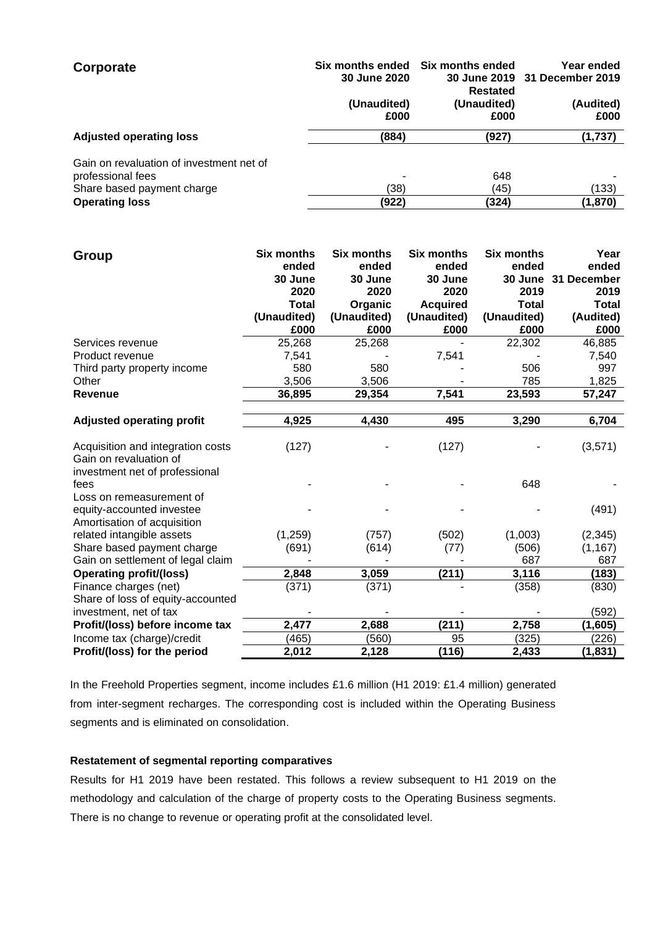| Corporate                                                     | 30 June 2020        | Six months ended Six months ended<br>Restated | Year ended<br>30 June 2019 31 December 2019 |
|---------------------------------------------------------------|---------------------|-----------------------------------------------|---------------------------------------------|
|                                                               | (Unaudited)<br>£000 | (Unaudited)<br>£000                           | (Audited)<br>£000                           |
| <b>Adjusted operating loss</b>                                | (884)               | (927)                                         | (1,737)                                     |
| Gain on revaluation of investment net of<br>professional fees |                     | 648                                           |                                             |
| Share based payment charge                                    | (38)                | (45)                                          | (133)                                       |
| <b>Operating loss</b>                                         | (922)               | (324)                                         | (1,870)                                     |

| Group                                                       | <b>Six months</b> | <b>Six months</b> | <b>Six months</b> | <b>Six months</b> | Year         |
|-------------------------------------------------------------|-------------------|-------------------|-------------------|-------------------|--------------|
|                                                             | ended             | ended             | ended             | ended             | ended        |
|                                                             | 30 June           | 30 June           | 30 June           | 30 June           | 31 December  |
|                                                             | 2020              | 2020              | 2020              | 2019              | 2019         |
|                                                             | <b>Total</b>      | Organic           | <b>Acquired</b>   | <b>Total</b>      | <b>Total</b> |
|                                                             | (Unaudited)       | (Unaudited)       | (Unaudited)       | (Unaudited)       | (Audited)    |
|                                                             | £000              | £000              | £000              | £000              | £000         |
| Services revenue                                            | 25,268            | 25,268            |                   | 22,302            | 46,885       |
| Product revenue                                             | 7,541             |                   | 7,541             |                   | 7,540        |
| Third party property income                                 | 580               | 580               |                   | 506               | 997          |
| Other                                                       | 3,506             | 3,506             |                   | 785               | 1,825        |
| <b>Revenue</b>                                              | 36,895            | 29,354            | 7,541             | 23,593            | 57,247       |
|                                                             |                   |                   |                   |                   |              |
| <b>Adjusted operating profit</b>                            | 4,925             | 4,430             | 495               | 3,290             | 6,704        |
| Acquisition and integration costs<br>Gain on revaluation of | (127)             |                   | (127)             |                   | (3,571)      |
| investment net of professional                              |                   |                   |                   |                   |              |
| fees                                                        |                   |                   |                   | 648               |              |
| Loss on remeasurement of                                    |                   |                   |                   |                   |              |
| equity-accounted investee                                   |                   |                   |                   |                   | (491)        |
| Amortisation of acquisition                                 |                   |                   |                   |                   |              |
| related intangible assets                                   | (1,259)           | (757)             | (502)             | (1,003)           | (2, 345)     |
| Share based payment charge                                  | (691)             | (614)             | (77)              | (506)             | (1, 167)     |
| Gain on settlement of legal claim                           |                   |                   |                   | 687               | 687          |
| <b>Operating profit/(loss)</b>                              | 2,848             | 3,059             | (211)             | 3,116             | (183)        |
| Finance charges (net)                                       | (371)             | (371)             |                   | (358)             | (830)        |
| Share of loss of equity-accounted                           |                   |                   |                   |                   |              |
| investment, net of tax                                      |                   |                   |                   |                   | (592)        |
| Profit/(loss) before income tax                             | 2,477             | 2,688             | (211)             | 2,758             | (1,605)      |
| Income tax (charge)/credit                                  | (465)             | (560)             | 95                | (325)             | (226)        |
| Profit/(loss) for the period                                | 2,012             | 2,128             | (116)             | 2,433             | (1,831)      |

In the Freehold Properties segment, income includes £1.6 million (H1 2019: £1.4 million) generated from inter-segment recharges. The corresponding cost is included within the Operating Business segments and is eliminated on consolidation.

# **Restatement of segmental reporting comparatives**

Results for H1 2019 have been restated. This follows a review subsequent to H1 2019 on the methodology and calculation of the charge of property costs to the Operating Business segments. There is no change to revenue or operating profit at the consolidated level.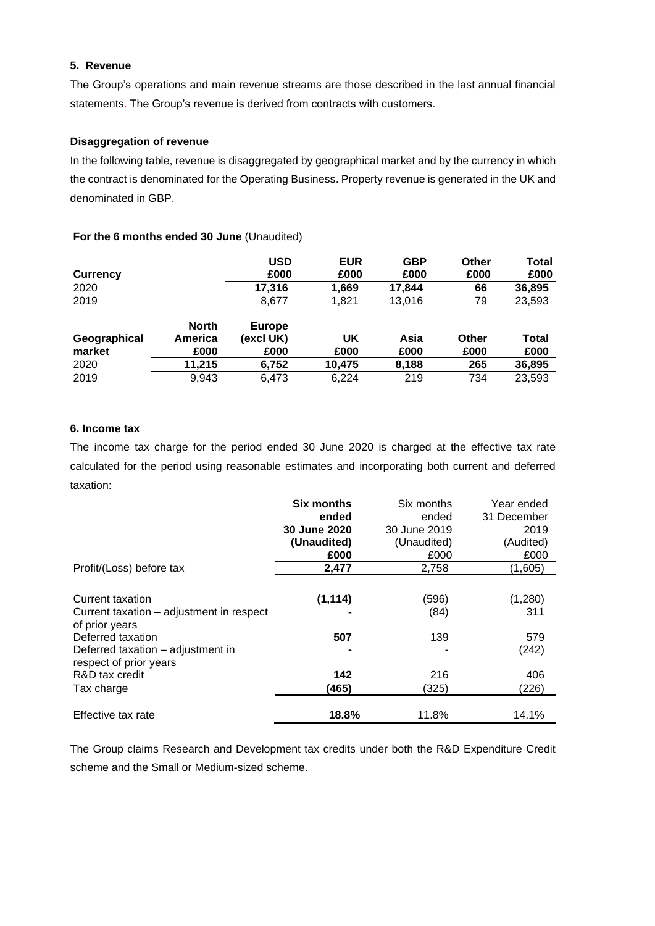# **5. Revenue**

The Group's operations and main revenue streams are those described in the last annual financial statements. The Group's revenue is derived from contracts with customers.

# **Disaggregation of revenue**

In the following table, revenue is disaggregated by geographical market and by the currency in which the contract is denominated for the Operating Business. Property revenue is generated in the UK and denominated in GBP.

#### **For the 6 months ended 30 June** (Unaudited)

| <b>Currency</b> |              | <b>USD</b><br>£000 | <b>EUR</b><br>£000 | <b>GBP</b><br>£000 | Other<br>£000 | Total<br>£000 |
|-----------------|--------------|--------------------|--------------------|--------------------|---------------|---------------|
| 2020            |              | 17,316             | 1,669              | 17,844             | 66            | 36,895        |
| 2019            |              | 8.677              | 1,821              | 13.016             | 79            | 23,593        |
|                 | <b>North</b> | <b>Europe</b>      |                    |                    |               |               |
| Geographical    | America      | (excl UK)          | <b>UK</b>          | Asia               | Other         | Total         |
| market          | £000         | £000               | £000               | £000               | £000          | £000          |
| 2020            | 11.215       | 6,752              | 10,475             | 8,188              | 265           | 36,895        |
| 2019            | 9,943        | 6.473              | 6.224              | 219                | 734           | 23,593        |

# **6. Income tax**

The income tax charge for the period ended 30 June 2020 is charged at the effective tax rate calculated for the period using reasonable estimates and incorporating both current and deferred taxation:

|                                          | <b>Six months</b> | Six months   | Year ended  |
|------------------------------------------|-------------------|--------------|-------------|
|                                          | ended             | ended        | 31 December |
|                                          | 30 June 2020      | 30 June 2019 | 2019        |
|                                          | (Unaudited)       | (Unaudited)  | (Audited)   |
|                                          | £000              | £000         | £000        |
| Profit/(Loss) before tax                 | 2,477             | 2,758        | (1,605)     |
|                                          |                   |              |             |
| Current taxation                         | (1, 114)          | (596)        | (1,280)     |
| Current taxation - adjustment in respect |                   | (84)         | 311         |
| of prior years                           |                   |              |             |
| Deferred taxation                        | 507               | 139          | 579         |
| Deferred taxation – adjustment in        |                   |              | (242)       |
| respect of prior years                   |                   |              |             |
| R&D tax credit                           | 142               | 216          | 406         |
| Tax charge                               | (465)             | (325)        | (226)       |
|                                          |                   |              |             |
| Effective tax rate                       | 18.8%             | 11.8%        | 14.1%       |

The Group claims Research and Development tax credits under both the R&D Expenditure Credit scheme and the Small or Medium-sized scheme.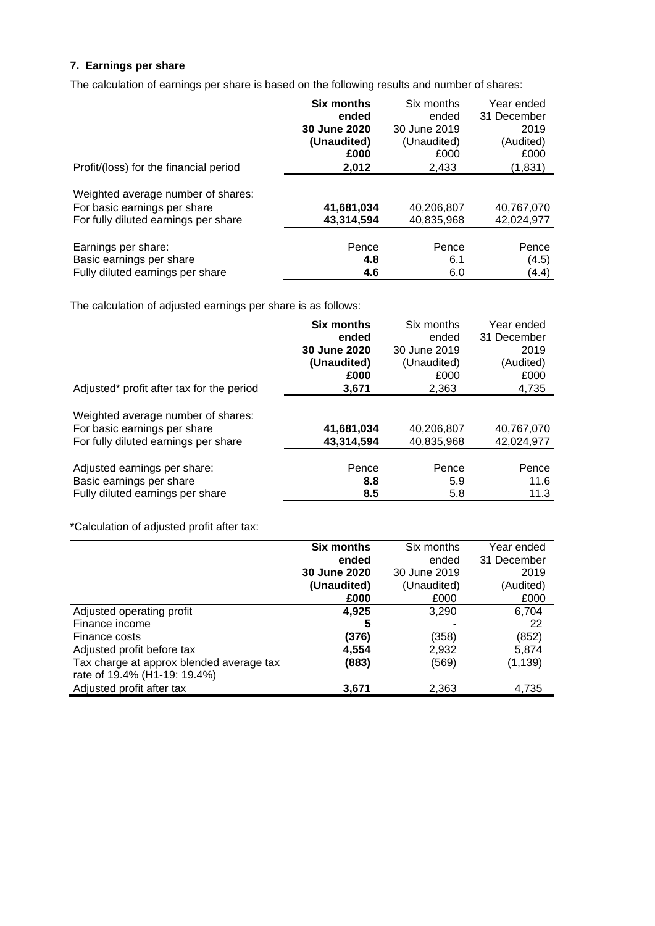# **7. Earnings per share**

The calculation of earnings per share is based on the following results and number of shares:

|                                                                                                            | <b>Six months</b><br>ended<br>30 June 2020 | Six months<br>ended<br>30 June 2019 | Year ended<br>31 December<br>2019 |
|------------------------------------------------------------------------------------------------------------|--------------------------------------------|-------------------------------------|-----------------------------------|
|                                                                                                            | (Unaudited)<br>£000                        | (Unaudited)<br>£000                 | (Audited)<br>£000                 |
| Profit/(loss) for the financial period                                                                     | 2,012                                      | 2,433                               | (1,831)                           |
| Weighted average number of shares:<br>For basic earnings per share<br>For fully diluted earnings per share | 41,681,034<br>43,314,594                   | 40,206,807<br>40,835,968            | 40,767,070<br>42,024,977          |
|                                                                                                            |                                            |                                     |                                   |
| Earnings per share:                                                                                        | Pence                                      | Pence                               | Pence                             |
| Basic earnings per share                                                                                   | 4.8                                        | 6.1                                 | (4.5)                             |
| Fully diluted earnings per share                                                                           | 4.6                                        | 6.0                                 | (4.4)                             |

The calculation of adjusted earnings per share is as follows:

|                                                                                                            | <b>Six months</b>        | Six months               | Year ended               |
|------------------------------------------------------------------------------------------------------------|--------------------------|--------------------------|--------------------------|
|                                                                                                            | ended                    | ended                    | 31 December              |
|                                                                                                            | 30 June 2020             | 30 June 2019             | 2019                     |
|                                                                                                            | (Unaudited)              | (Unaudited)              | (Audited)                |
|                                                                                                            | £000                     | £000                     | £000                     |
| Adjusted* profit after tax for the period                                                                  | 3,671                    | 2.363                    | 4,735                    |
| Weighted average number of shares:<br>For basic earnings per share<br>For fully diluted earnings per share | 41,681,034<br>43,314,594 | 40,206,807<br>40,835,968 | 40,767,070<br>42,024,977 |
| Adjusted earnings per share:<br>Basic earnings per share<br>Fully diluted earnings per share               | Pence<br>8.8<br>8.5      | Pence<br>5.9<br>5.8      | Pence<br>11.6<br>11.3    |

\*Calculation of adjusted profit after tax:

|                                          | <b>Six months</b> | Six months   | Year ended  |
|------------------------------------------|-------------------|--------------|-------------|
|                                          | ended             | ended        | 31 December |
|                                          | 30 June 2020      | 30 June 2019 | 2019        |
|                                          | (Unaudited)       | (Unaudited)  | (Audited)   |
|                                          | £000              | £000         | £000        |
| Adjusted operating profit                | 4.925             | 3,290        | 6,704       |
| Finance income                           | 5                 |              | 22          |
| Finance costs                            | (376)             | (358)        | (852)       |
| Adjusted profit before tax               | 4,554             | 2,932        | 5,874       |
| Tax charge at approx blended average tax | (883)             | (569)        | (1, 139)    |
| rate of 19.4% (H1-19: 19.4%)             |                   |              |             |
| Adjusted profit after tax                | 3,671             | 2,363        | 4,735       |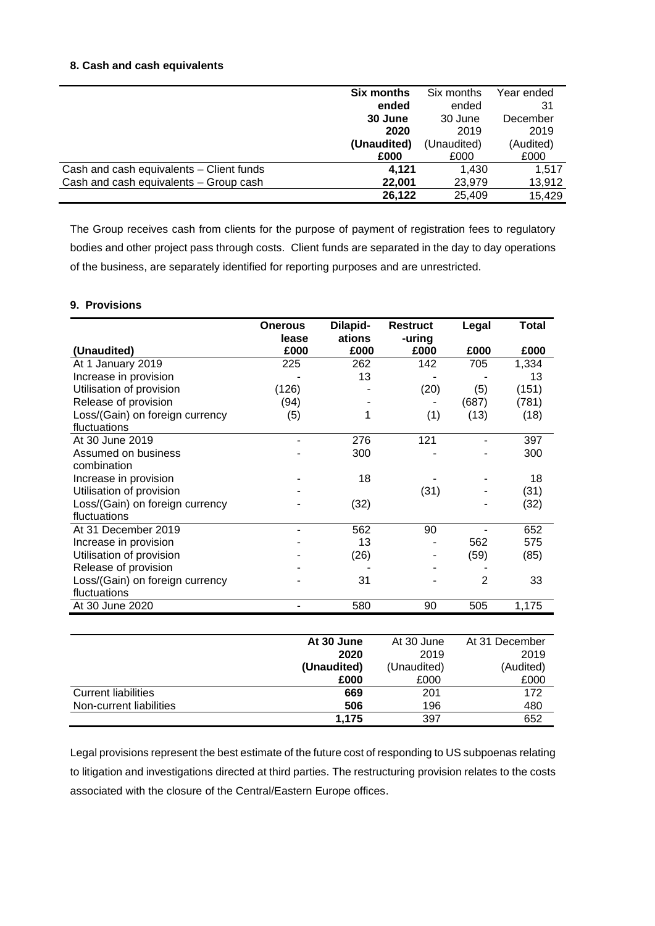# **8. Cash and cash equivalents**

|                                          | <b>Six months</b> | Six months  | Year ended |
|------------------------------------------|-------------------|-------------|------------|
|                                          | ended             | ended       | 31         |
|                                          | 30 June           | 30 June     | December   |
|                                          | 2020              | 2019        | 2019       |
|                                          | (Unaudited)       | (Unaudited) | (Audited)  |
|                                          | £000              | £000        | £000       |
| Cash and cash equivalents - Client funds | 4.121             | 1.430       | 1.517      |
| Cash and cash equivalents - Group cash   | 22,001            | 23,979      | 13,912     |
|                                          | 26,122            | 25,409      | 15,429     |

The Group receives cash from clients for the purpose of payment of registration fees to regulatory bodies and other project pass through costs. Client funds are separated in the day to day operations of the business, are separately identified for reporting purposes and are unrestricted.

#### **9. Provisions**

|                                 | <b>Onerous</b> | Dilapid-   | <b>Restruct</b> | Legal          | <b>Total</b>   |
|---------------------------------|----------------|------------|-----------------|----------------|----------------|
|                                 | lease          | ations     | -uring          |                |                |
| (Unaudited)                     | £000           | £000       | £000            | £000           | £000           |
| At 1 January 2019               | 225            | 262        | 142             | 705            | 1,334          |
| Increase in provision           |                | 13         |                 |                | 13             |
| Utilisation of provision        | (126)          |            | (20)            | (5)            | (151)          |
| Release of provision            | (94)           |            |                 | (687)          | (781)          |
| Loss/(Gain) on foreign currency | (5)            | 1          | (1)             | (13)           | (18)           |
| fluctuations                    |                |            |                 |                |                |
| At 30 June 2019                 |                | 276        | 121             |                | 397            |
| Assumed on business             |                | 300        |                 |                | 300            |
| combination                     |                |            |                 |                |                |
| Increase in provision           |                | 18         |                 |                | 18             |
| Utilisation of provision        |                |            | (31)            |                | (31)           |
| Loss/(Gain) on foreign currency |                | (32)       |                 |                | (32)           |
| fluctuations                    |                |            |                 |                |                |
| At 31 December 2019             | ٠              | 562        | 90              |                | 652            |
| Increase in provision           |                | 13         |                 | 562            | 575            |
| Utilisation of provision        |                | (26)       |                 | (59)           | (85)           |
| Release of provision            |                |            |                 |                |                |
| Loss/(Gain) on foreign currency |                | 31         |                 | $\overline{2}$ | 33             |
| fluctuations                    |                |            |                 |                |                |
| At 30 June 2020                 |                | 580        | 90              | 505            | 1,175          |
|                                 |                |            |                 |                |                |
|                                 |                | At 30 June | At 30 June      |                | At 31 December |
|                                 | 2020           |            | 2019            |                | 2019           |
|                                 | (Unaudited)    |            | (Unaudited)     |                | (Audited)      |
|                                 |                | £000       | £000            |                | £000           |
| <b>Current liabilities</b>      |                | 669        | 201             |                | 172            |
| Non-current liabilities         |                | 506        | 196             |                | 480            |

Legal provisions represent the best estimate of the future cost of responding to US subpoenas relating to litigation and investigations directed at third parties. The restructuring provision relates to the costs associated with the closure of the Central/Eastern Europe offices.

**1,175** 397 652